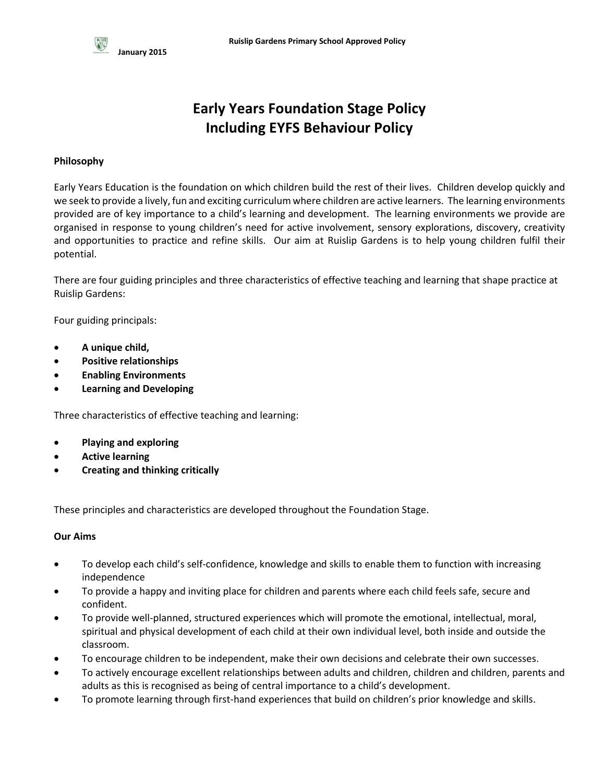# **Early Years Foundation Stage Policy Including EYFS Behaviour Policy**

# **Philosophy**

Early Years Education is the foundation on which children build the rest of their lives. Children develop quickly and we seek to provide a lively, fun and exciting curriculum where children are active learners. The learning environments provided are of key importance to a child's learning and development. The learning environments we provide are organised in response to young children's need for active involvement, sensory explorations, discovery, creativity and opportunities to practice and refine skills. Our aim at Ruislip Gardens is to help young children fulfil their potential.

There are four guiding principles and three characteristics of effective teaching and learning that shape practice at Ruislip Gardens:

Four guiding principals:

- **A unique child,**
- **Positive relationships**
- **Enabling Environments**
- **Learning and Developing**

Three characteristics of effective teaching and learning:

- **Playing and exploring**
- **Active learning**
- **Creating and thinking critically**

These principles and characteristics are developed throughout the Foundation Stage.

# **Our Aims**

- To develop each child's self-confidence, knowledge and skills to enable them to function with increasing independence
- To provide a happy and inviting place for children and parents where each child feels safe, secure and confident.
- To provide well-planned, structured experiences which will promote the emotional, intellectual, moral, spiritual and physical development of each child at their own individual level, both inside and outside the classroom.
- To encourage children to be independent, make their own decisions and celebrate their own successes.
- To actively encourage excellent relationships between adults and children, children and children, parents and adults as this is recognised as being of central importance to a child's development.
- To promote learning through first-hand experiences that build on children's prior knowledge and skills.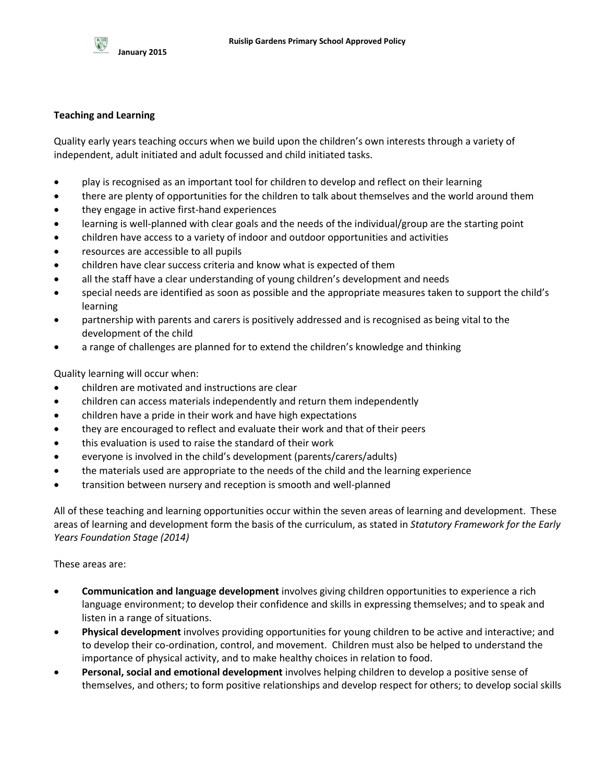

## **Teaching and Learning**

Quality early years teaching occurs when we build upon the children's own interests through a variety of independent, adult initiated and adult focussed and child initiated tasks.

- play is recognised as an important tool for children to develop and reflect on their learning
- there are plenty of opportunities for the children to talk about themselves and the world around them
- they engage in active first-hand experiences
- learning is well-planned with clear goals and the needs of the individual/group are the starting point
- children have access to a variety of indoor and outdoor opportunities and activities
- resources are accessible to all pupils
- children have clear success criteria and know what is expected of them
- all the staff have a clear understanding of young children's development and needs
- special needs are identified as soon as possible and the appropriate measures taken to support the child's learning
- partnership with parents and carers is positively addressed and is recognised as being vital to the development of the child
- a range of challenges are planned for to extend the children's knowledge and thinking

Quality learning will occur when:

- children are motivated and instructions are clear
- children can access materials independently and return them independently
- children have a pride in their work and have high expectations
- they are encouraged to reflect and evaluate their work and that of their peers
- this evaluation is used to raise the standard of their work
- everyone is involved in the child's development (parents/carers/adults)
- the materials used are appropriate to the needs of the child and the learning experience
- transition between nursery and reception is smooth and well-planned

All of these teaching and learning opportunities occur within the seven areas of learning and development. These areas of learning and development form the basis of the curriculum, as stated in *Statutory Framework for the Early Years Foundation Stage (2014)*

These areas are:

- **Communication and language development** involves giving children opportunities to experience a rich language environment; to develop their confidence and skills in expressing themselves; and to speak and listen in a range of situations.
- **Physical development** involves providing opportunities for young children to be active and interactive; and to develop their co-ordination, control, and movement. Children must also be helped to understand the importance of physical activity, and to make healthy choices in relation to food.
- **Personal, social and emotional development** involves helping children to develop a positive sense of themselves, and others; to form positive relationships and develop respect for others; to develop social skills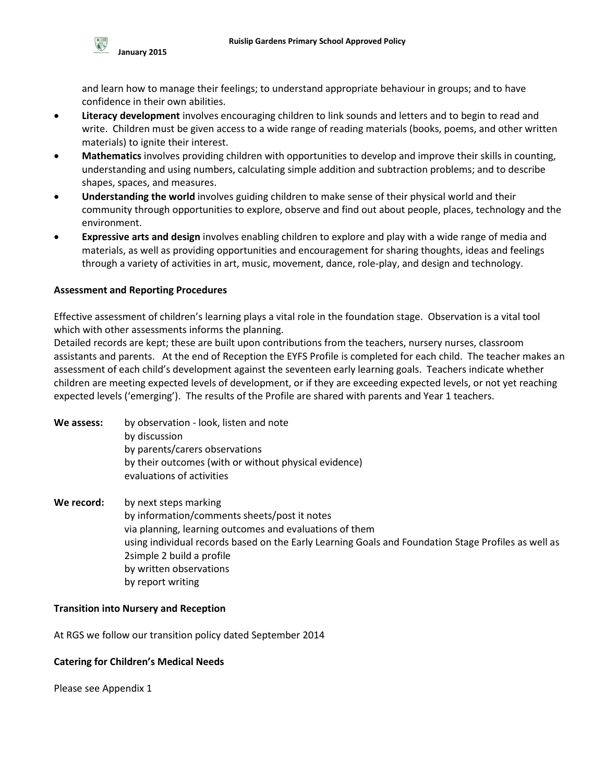

and learn how to manage their feelings; to understand appropriate behaviour in groups; and to have confidence in their own abilities.

- **Literacy development** involves encouraging children to link sounds and letters and to begin to read and write. Children must be given access to a wide range of reading materials (books, poems, and other written materials) to ignite their interest.
- **Mathematics** involves providing children with opportunities to develop and improve their skills in counting, understanding and using numbers, calculating simple addition and subtraction problems; and to describe shapes, spaces, and measures.
- **Understanding the world** involves guiding children to make sense of their physical world and their community through opportunities to explore, observe and find out about people, places, technology and the environment.
- **Expressive arts and design** involves enabling children to explore and play with a wide range of media and materials, as well as providing opportunities and encouragement for sharing thoughts, ideas and feelings through a variety of activities in art, music, movement, dance, role-play, and design and technology.

#### **Assessment and Reporting Procedures**

Effective assessment of children's learning plays a vital role in the foundation stage. Observation is a vital tool which with other assessments informs the planning.

Detailed records are kept; these are built upon contributions from the teachers, nursery nurses, classroom assistants and parents. At the end of Reception the EYFS Profile is completed for each child. The teacher makes an assessment of each child's development against the seventeen early learning goals. Teachers indicate whether children are meeting expected levels of development, or if they are exceeding expected levels, or not yet reaching expected levels ('emerging'). The results of the Profile are shared with parents and Year 1 teachers.

| We assess: | by observation - look, listen and note                                             |
|------------|------------------------------------------------------------------------------------|
|            | by discussion                                                                      |
|            | by parents/carers observations                                                     |
|            | by their outcomes (with or without physical evidence)<br>evaluations of activities |
|            |                                                                                    |

**We record:** by next steps marking by information/comments sheets/post it notes via planning, learning outcomes and evaluations of them using individual records based on the Early Learning Goals and Foundation Stage Profiles as well as 2simple 2 build a profile by written observations by report writing

#### **Transition into Nursery and Reception**

At RGS we follow our transition policy dated September 2014

# **Catering for Children's Medical Needs**

Please see Appendix 1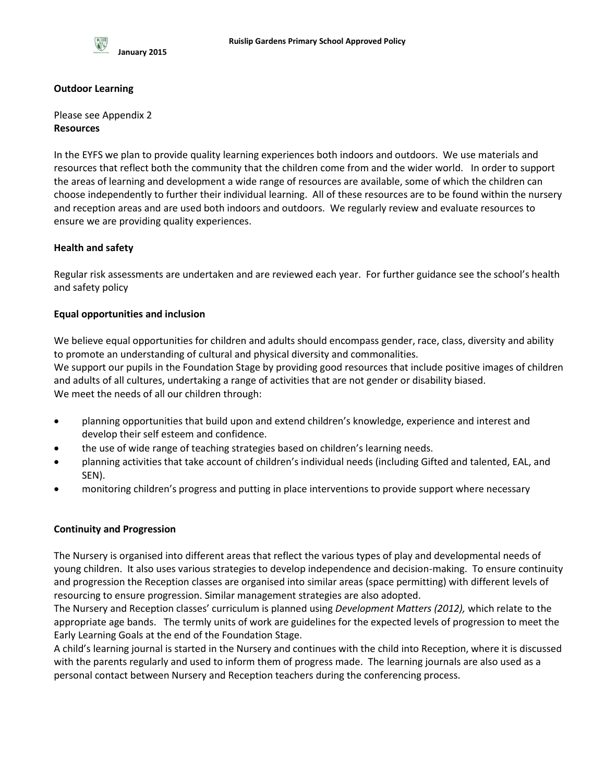

#### **Outdoor Learning**

Please see Appendix 2 **Resources**

In the EYFS we plan to provide quality learning experiences both indoors and outdoors. We use materials and resources that reflect both the community that the children come from and the wider world. In order to support the areas of learning and development a wide range of resources are available, some of which the children can choose independently to further their individual learning. All of these resources are to be found within the nursery and reception areas and are used both indoors and outdoors. We regularly review and evaluate resources to ensure we are providing quality experiences.

# **Health and safety**

Regular risk assessments are undertaken and are reviewed each year. For further guidance see the school's health and safety policy

## **Equal opportunities and inclusion**

We believe equal opportunities for children and adults should encompass gender, race, class, diversity and ability to promote an understanding of cultural and physical diversity and commonalities. We support our pupils in the Foundation Stage by providing good resources that include positive images of children and adults of all cultures, undertaking a range of activities that are not gender or disability biased. We meet the needs of all our children through:

- planning opportunities that build upon and extend children's knowledge, experience and interest and develop their self esteem and confidence.
- the use of wide range of teaching strategies based on children's learning needs.
- planning activities that take account of children's individual needs (including Gifted and talented, EAL, and SEN).
- monitoring children's progress and putting in place interventions to provide support where necessary

#### **Continuity and Progression**

The Nursery is organised into different areas that reflect the various types of play and developmental needs of young children. It also uses various strategies to develop independence and decision-making. To ensure continuity and progression the Reception classes are organised into similar areas (space permitting) with different levels of resourcing to ensure progression. Similar management strategies are also adopted.

The Nursery and Reception classes' curriculum is planned using *Development Matters (2012),* which relate to the appropriate age bands. The termly units of work are guidelines for the expected levels of progression to meet the Early Learning Goals at the end of the Foundation Stage.

A child's learning journal is started in the Nursery and continues with the child into Reception, where it is discussed with the parents regularly and used to inform them of progress made. The learning journals are also used as a personal contact between Nursery and Reception teachers during the conferencing process.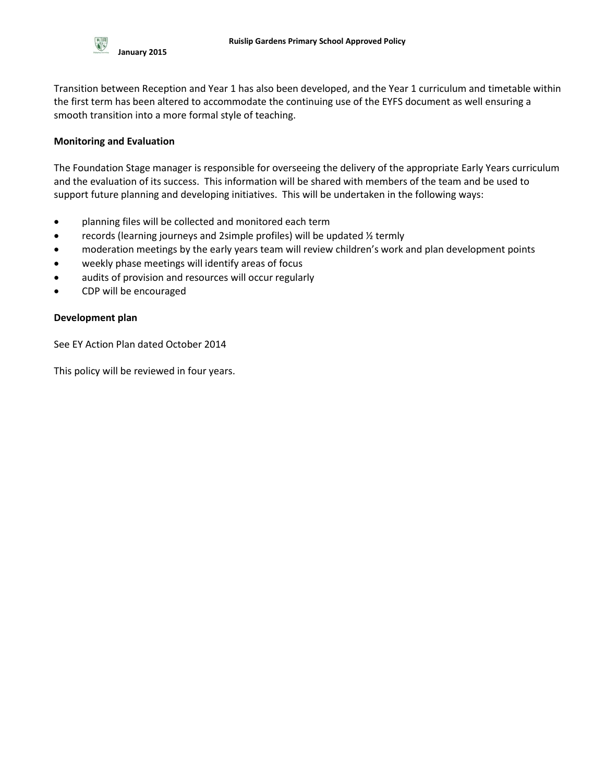Transition between Reception and Year 1 has also been developed, and the Year 1 curriculum and timetable within the first term has been altered to accommodate the continuing use of the EYFS document as well ensuring a smooth transition into a more formal style of teaching.

# **Monitoring and Evaluation**

The Foundation Stage manager is responsible for overseeing the delivery of the appropriate Early Years curriculum and the evaluation of its success. This information will be shared with members of the team and be used to support future planning and developing initiatives. This will be undertaken in the following ways:

- planning files will be collected and monitored each term
- records (learning journeys and 2simple profiles) will be updated ½ termly
- moderation meetings by the early years team will review children's work and plan development points
- weekly phase meetings will identify areas of focus
- audits of provision and resources will occur regularly
- CDP will be encouraged

## **Development plan**

See EY Action Plan dated October 2014

This policy will be reviewed in four years.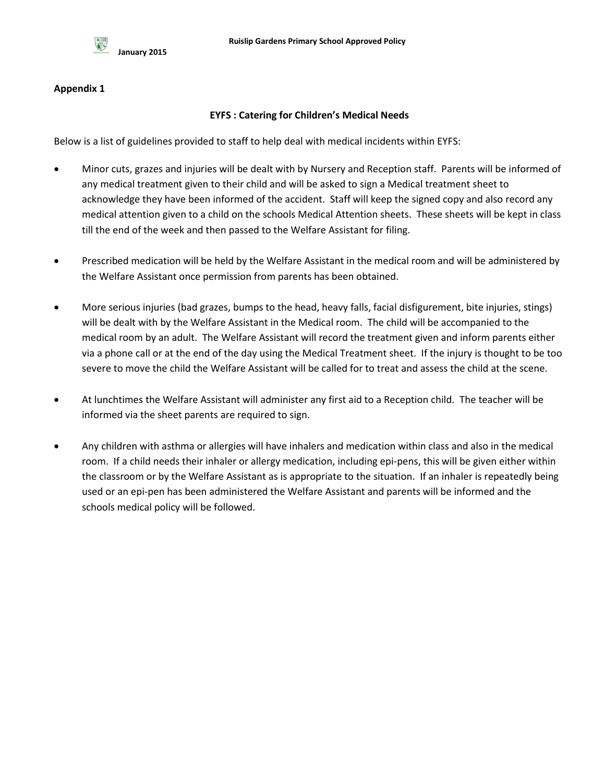

## **Appendix 1**

## **EYFS : Catering for Children's Medical Needs**

Below is a list of guidelines provided to staff to help deal with medical incidents within EYFS:

- Minor cuts, grazes and injuries will be dealt with by Nursery and Reception staff. Parents will be informed of any medical treatment given to their child and will be asked to sign a Medical treatment sheet to acknowledge they have been informed of the accident. Staff will keep the signed copy and also record any medical attention given to a child on the schools Medical Attention sheets. These sheets will be kept in class till the end of the week and then passed to the Welfare Assistant for filing.
- Prescribed medication will be held by the Welfare Assistant in the medical room and will be administered by the Welfare Assistant once permission from parents has been obtained.
- More serious injuries (bad grazes, bumps to the head, heavy falls, facial disfigurement, bite injuries, stings) will be dealt with by the Welfare Assistant in the Medical room. The child will be accompanied to the medical room by an adult. The Welfare Assistant will record the treatment given and inform parents either via a phone call or at the end of the day using the Medical Treatment sheet. If the injury is thought to be too severe to move the child the Welfare Assistant will be called for to treat and assess the child at the scene.
- At lunchtimes the Welfare Assistant will administer any first aid to a Reception child. The teacher will be informed via the sheet parents are required to sign.
- Any children with asthma or allergies will have inhalers and medication within class and also in the medical room. If a child needs their inhaler or allergy medication, including epi-pens, this will be given either within the classroom or by the Welfare Assistant as is appropriate to the situation. If an inhaler is repeatedly being used or an epi-pen has been administered the Welfare Assistant and parents will be informed and the schools medical policy will be followed.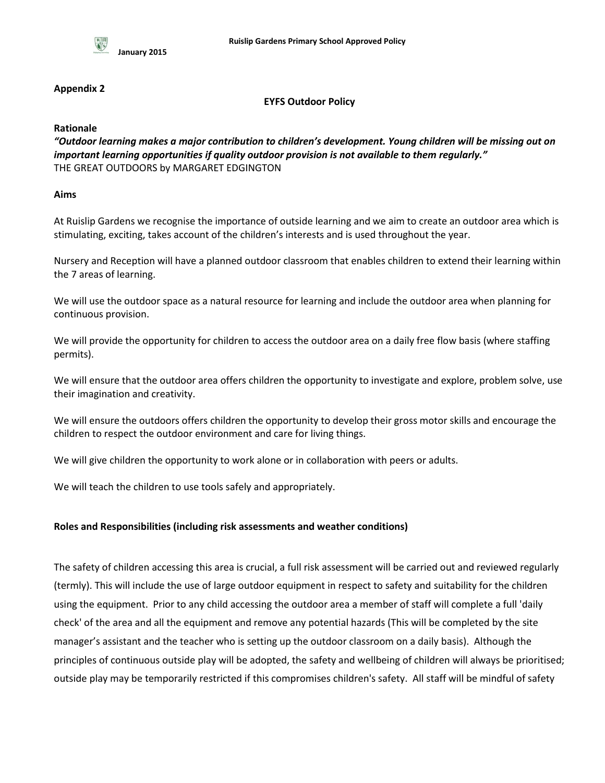

## **Appendix 2**

## **EYFS Outdoor Policy**

**Rationale**

*"Outdoor learning makes a major contribution to children's development. Young children will be missing out on important learning opportunities if quality outdoor provision is not available to them regularly."* THE GREAT OUTDOORS by MARGARET EDGINGTON

## **Aims**

At Ruislip Gardens we recognise the importance of outside learning and we aim to create an outdoor area which is stimulating, exciting, takes account of the children's interests and is used throughout the year.

Nursery and Reception will have a planned outdoor classroom that enables children to extend their learning within the 7 areas of learning.

We will use the outdoor space as a natural resource for learning and include the outdoor area when planning for continuous provision.

We will provide the opportunity for children to access the outdoor area on a daily free flow basis (where staffing permits).

We will ensure that the outdoor area offers children the opportunity to investigate and explore, problem solve, use their imagination and creativity.

We will ensure the outdoors offers children the opportunity to develop their gross motor skills and encourage the children to respect the outdoor environment and care for living things.

We will give children the opportunity to work alone or in collaboration with peers or adults.

We will teach the children to use tools safely and appropriately.

# **Roles and Responsibilities (including risk assessments and weather conditions)**

The safety of children accessing this area is crucial, a full risk assessment will be carried out and reviewed regularly (termly). This will include the use of large outdoor equipment in respect to safety and suitability for the children using the equipment. Prior to any child accessing the outdoor area a member of staff will complete a full 'daily check' of the area and all the equipment and remove any potential hazards (This will be completed by the site manager's assistant and the teacher who is setting up the outdoor classroom on a daily basis). Although the principles of continuous outside play will be adopted, the safety and wellbeing of children will always be prioritised; outside play may be temporarily restricted if this compromises children's safety. All staff will be mindful of safety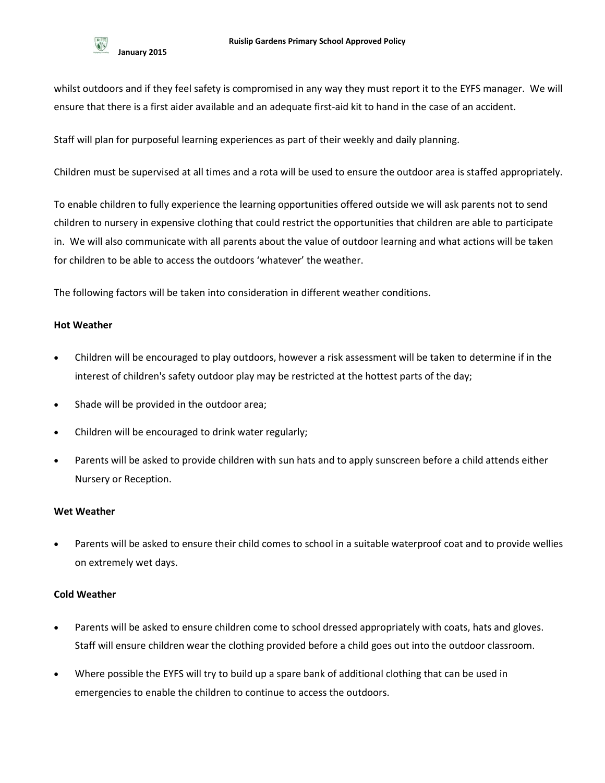whilst outdoors and if they feel safety is compromised in any way they must report it to the EYFS manager. We will ensure that there is a first aider available and an adequate first-aid kit to hand in the case of an accident.

Staff will plan for purposeful learning experiences as part of their weekly and daily planning.

Children must be supervised at all times and a rota will be used to ensure the outdoor area is staffed appropriately.

To enable children to fully experience the learning opportunities offered outside we will ask parents not to send children to nursery in expensive clothing that could restrict the opportunities that children are able to participate in. We will also communicate with all parents about the value of outdoor learning and what actions will be taken for children to be able to access the outdoors 'whatever' the weather.

The following factors will be taken into consideration in different weather conditions.

# **Hot Weather**

- Children will be encouraged to play outdoors, however a risk assessment will be taken to determine if in the interest of children's safety outdoor play may be restricted at the hottest parts of the day;
- Shade will be provided in the outdoor area;
- Children will be encouraged to drink water regularly;
- Parents will be asked to provide children with sun hats and to apply sunscreen before a child attends either Nursery or Reception.

#### **Wet Weather**

 Parents will be asked to ensure their child comes to school in a suitable waterproof coat and to provide wellies on extremely wet days.

# **Cold Weather**

- Parents will be asked to ensure children come to school dressed appropriately with coats, hats and gloves. Staff will ensure children wear the clothing provided before a child goes out into the outdoor classroom.
- Where possible the EYFS will try to build up a spare bank of additional clothing that can be used in emergencies to enable the children to continue to access the outdoors.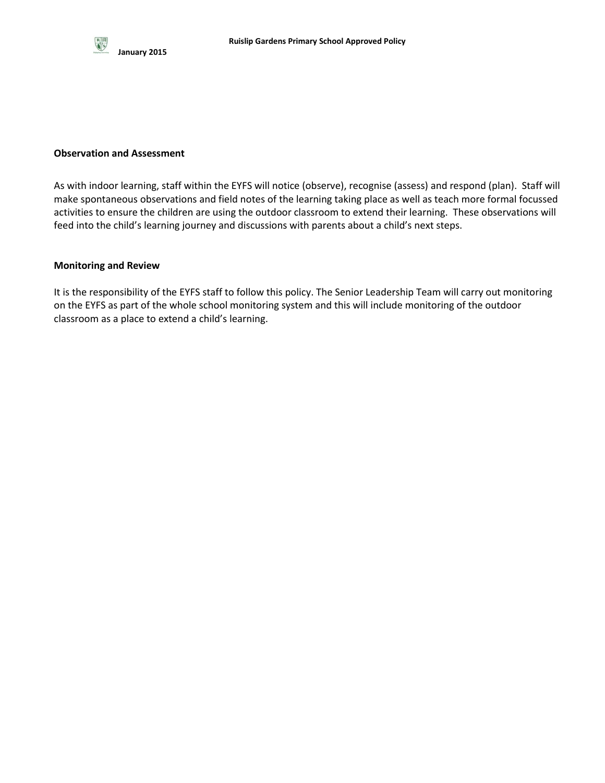

#### **Observation and Assessment**

As with indoor learning, staff within the EYFS will notice (observe), recognise (assess) and respond (plan). Staff will make spontaneous observations and field notes of the learning taking place as well as teach more formal focussed activities to ensure the children are using the outdoor classroom to extend their learning. These observations will feed into the child's learning journey and discussions with parents about a child's next steps.

#### **Monitoring and Review**

It is the responsibility of the EYFS staff to follow this policy. The Senior Leadership Team will carry out monitoring on the EYFS as part of the whole school monitoring system and this will include monitoring of the outdoor classroom as a place to extend a child's learning.